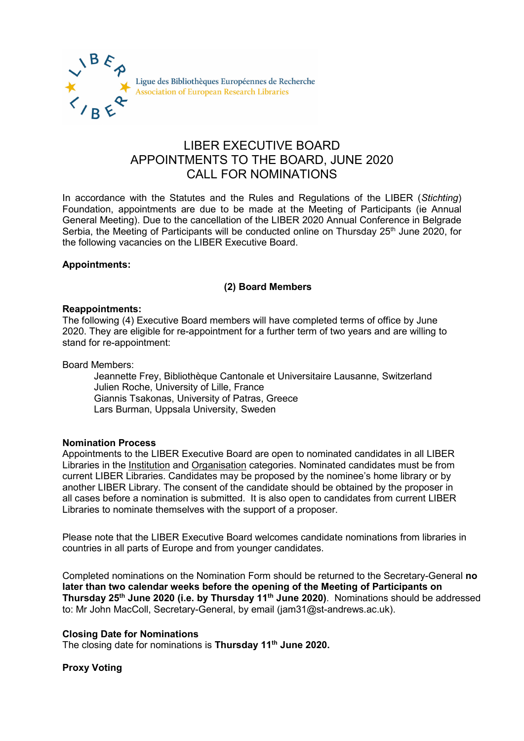

# LIBER EXECUTIVE BOARD APPOINTMENTS TO THE BOARD, JUNE 2020 CALL FOR NOMINATIONS

In accordance with the Statutes and the Rules and Regulations of the LIBER (*Stichting*) Foundation, appointments are due to be made at the Meeting of Participants (ie Annual General Meeting). Due to the cancellation of the LIBER 2020 Annual Conference in Belgrade Serbia, the Meeting of Participants will be conducted online on Thursday 25<sup>th</sup> June 2020, for the following vacancies on the LIBER Executive Board.

## **Appointments:**

## **(2) Board Members**

#### **Reappointments:**

The following (4) Executive Board members will have completed terms of office by June 2020. They are eligible for re-appointment for a further term of two years and are willing to stand for re-appointment:

Board Members:

Jeannette Frey, Bibliothèque Cantonale et Universitaire Lausanne, Switzerland Julien Roche, University of Lille, France Giannis Tsakonas, University of Patras, Greece Lars Burman, Uppsala University, Sweden

## **Nomination Process**

Appointments to the LIBER Executive Board are open to nominated candidates in all LIBER Libraries in the Institution and Organisation categories. Nominated candidates must be from current LIBER Libraries. Candidates may be proposed by the nominee's home library or by another LIBER Library. The consent of the candidate should be obtained by the proposer in all cases before a nomination is submitted. It is also open to candidates from current LIBER Libraries to nominate themselves with the support of a proposer.

Please note that the LIBER Executive Board welcomes candidate nominations from libraries in countries in all parts of Europe and from younger candidates.

Completed nominations on the Nomination Form should be returned to the Secretary-General **no later than two calendar weeks before the opening of the Meeting of Participants on Thursday 25th June 2020 (i.e. by Thursday 11th June 2020)**. Nominations should be addressed to: Mr John MacColl, Secretary-General, by email (jam31@st-andrews.ac.uk).

## **Closing Date for Nominations**

The closing date for nominations is **Thursday 11th June 2020.**

## **Proxy Voting**